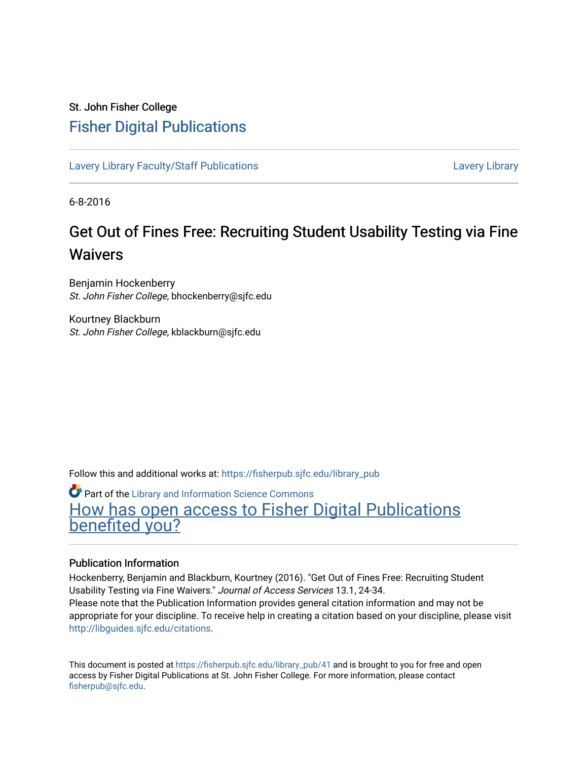# St. John Fisher College [Fisher Digital Publications](https://fisherpub.sjfc.edu/)

[Lavery Library Faculty/Staff Publications](https://fisherpub.sjfc.edu/library_pub) **Latter Controllery Library Library** Lavery Library

6-8-2016

# Get Out of Fines Free: Recruiting Student Usability Testing via Fine Waivers

Benjamin Hockenberry St. John Fisher College, bhockenberry@sjfc.edu

Kourtney Blackburn St. John Fisher College, kblackburn@sjfc.edu

Follow this and additional works at: [https://fisherpub.sjfc.edu/library\\_pub](https://fisherpub.sjfc.edu/library_pub?utm_source=fisherpub.sjfc.edu%2Flibrary_pub%2F41&utm_medium=PDF&utm_campaign=PDFCoverPages)

**Part of the Library and Information Science Commons** [How has open access to Fisher Digital Publications](https://docs.google.com/forms/d/14zrnDfH9d1wcdq8oG_-gFabAsxfcH5claltx85ZWyTg/viewform?entry.1394608989=https://fisherpub.sjfc.edu/library_pub/41%3Chttps://docs.google.com/forms/d/14zrnDfH9d1wcdq8oG_-gFabAsxfcH5claltx85ZWyTg/viewform?entry.1394608989=%7bhttps://fisherpub.sjfc.edu/library_pub/41%7d) [benefited you?](https://docs.google.com/forms/d/14zrnDfH9d1wcdq8oG_-gFabAsxfcH5claltx85ZWyTg/viewform?entry.1394608989=https://fisherpub.sjfc.edu/library_pub/41%3Chttps://docs.google.com/forms/d/14zrnDfH9d1wcdq8oG_-gFabAsxfcH5claltx85ZWyTg/viewform?entry.1394608989=%7bhttps://fisherpub.sjfc.edu/library_pub/41%7d)

## Publication Information

Hockenberry, Benjamin and Blackburn, Kourtney (2016). "Get Out of Fines Free: Recruiting Student Usability Testing via Fine Waivers." Journal of Access Services 13.1, 24-34. Please note that the Publication Information provides general citation information and may not be appropriate for your discipline. To receive help in creating a citation based on your discipline, please visit [http://libguides.sjfc.edu/citations.](http://libguides.sjfc.edu/citations)

This document is posted at [https://fisherpub.sjfc.edu/library\\_pub/41](https://fisherpub.sjfc.edu/library_pub/41) and is brought to you for free and open access by Fisher Digital Publications at St. John Fisher College. For more information, please contact [fisherpub@sjfc.edu](mailto:fisherpub@sjfc.edu).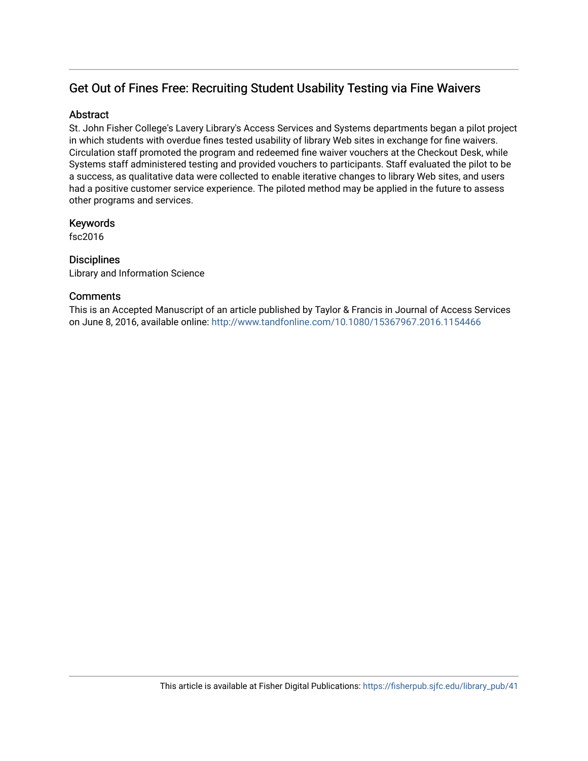# Get Out of Fines Free: Recruiting Student Usability Testing via Fine Waivers

# **Abstract**

St. John Fisher College's Lavery Library's Access Services and Systems departments began a pilot project in which students with overdue fines tested usability of library Web sites in exchange for fine waivers. Circulation staff promoted the program and redeemed fine waiver vouchers at the Checkout Desk, while Systems staff administered testing and provided vouchers to participants. Staff evaluated the pilot to be a success, as qualitative data were collected to enable iterative changes to library Web sites, and users had a positive customer service experience. The piloted method may be applied in the future to assess other programs and services.

# Keywords

fsc2016

# **Disciplines**

Library and Information Science

# **Comments**

This is an Accepted Manuscript of an article published by Taylor & Francis in Journal of Access Services on June 8, 2016, available online:<http://www.tandfonline.com/10.1080/15367967.2016.1154466>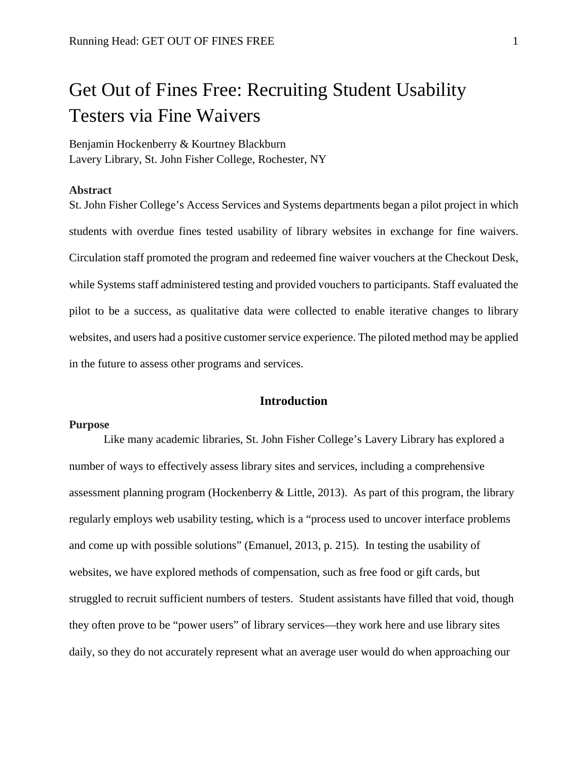# Get Out of Fines Free: Recruiting Student Usability Testers via Fine Waivers

Benjamin Hockenberry & Kourtney Blackburn Lavery Library, St. John Fisher College, Rochester, NY

#### **Abstract**

St. John Fisher College's Access Services and Systems departments began a pilot project in which students with overdue fines tested usability of library websites in exchange for fine waivers. Circulation staff promoted the program and redeemed fine waiver vouchers at the Checkout Desk, while Systems staff administered testing and provided vouchers to participants. Staff evaluated the pilot to be a success, as qualitative data were collected to enable iterative changes to library websites, and users had a positive customer service experience. The piloted method may be applied in the future to assess other programs and services.

## **Introduction**

#### **Purpose**

Like many academic libraries, St. John Fisher College's Lavery Library has explored a number of ways to effectively assess library sites and services, including a comprehensive assessment planning program (Hockenberry & Little, 2013). As part of this program, the library regularly employs web usability testing, which is a "process used to uncover interface problems and come up with possible solutions" (Emanuel, 2013, p. 215). In testing the usability of websites, we have explored methods of compensation, such as free food or gift cards, but struggled to recruit sufficient numbers of testers. Student assistants have filled that void, though they often prove to be "power users" of library services—they work here and use library sites daily, so they do not accurately represent what an average user would do when approaching our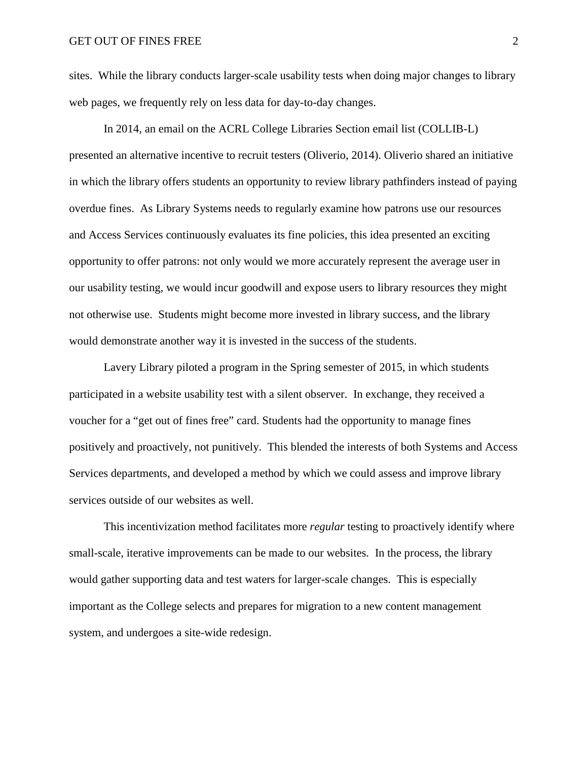sites. While the library conducts larger-scale usability tests when doing major changes to library web pages, we frequently rely on less data for day-to-day changes.

In 2014, an email on the ACRL College Libraries Section email list (COLLIB-L) presented an alternative incentive to recruit testers (Oliverio, 2014). Oliverio shared an initiative in which the library offers students an opportunity to review library pathfinders instead of paying overdue fines. As Library Systems needs to regularly examine how patrons use our resources and Access Services continuously evaluates its fine policies, this idea presented an exciting opportunity to offer patrons: not only would we more accurately represent the average user in our usability testing, we would incur goodwill and expose users to library resources they might not otherwise use. Students might become more invested in library success, and the library would demonstrate another way it is invested in the success of the students.

Lavery Library piloted a program in the Spring semester of 2015, in which students participated in a website usability test with a silent observer. In exchange, they received a voucher for a "get out of fines free" card. Students had the opportunity to manage fines positively and proactively, not punitively. This blended the interests of both Systems and Access Services departments, and developed a method by which we could assess and improve library services outside of our websites as well.

This incentivization method facilitates more *regular* testing to proactively identify where small-scale, iterative improvements can be made to our websites. In the process, the library would gather supporting data and test waters for larger-scale changes. This is especially important as the College selects and prepares for migration to a new content management system, and undergoes a site-wide redesign.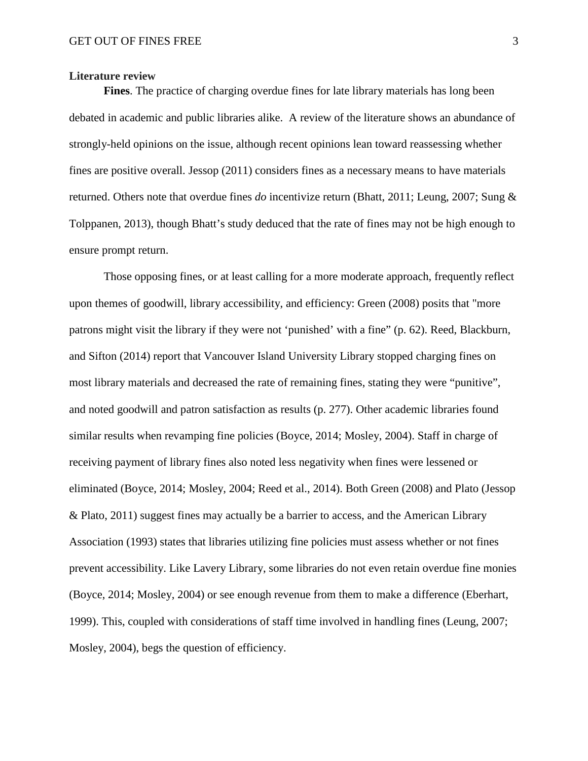#### **Literature review**

**Fines**. The practice of charging overdue fines for late library materials has long been debated in academic and public libraries alike. A review of the literature shows an abundance of strongly-held opinions on the issue, although recent opinions lean toward reassessing whether fines are positive overall. Jessop (2011) considers fines as a necessary means to have materials returned. Others note that overdue fines *do* incentivize return (Bhatt, 2011; Leung, 2007; Sung & Tolppanen, 2013), though Bhatt's study deduced that the rate of fines may not be high enough to ensure prompt return.

Those opposing fines, or at least calling for a more moderate approach, frequently reflect upon themes of goodwill, library accessibility, and efficiency: Green (2008) posits that "more patrons might visit the library if they were not 'punished' with a fine" (p. 62). Reed, Blackburn, and Sifton (2014) report that Vancouver Island University Library stopped charging fines on most library materials and decreased the rate of remaining fines, stating they were "punitive", and noted goodwill and patron satisfaction as results (p. 277). Other academic libraries found similar results when revamping fine policies (Boyce, 2014; Mosley, 2004). Staff in charge of receiving payment of library fines also noted less negativity when fines were lessened or eliminated (Boyce, 2014; Mosley, 2004; Reed et al., 2014). Both Green (2008) and Plato (Jessop & Plato, 2011) suggest fines may actually be a barrier to access, and the American Library Association (1993) states that libraries utilizing fine policies must assess whether or not fines prevent accessibility. Like Lavery Library, some libraries do not even retain overdue fine monies (Boyce, 2014; Mosley, 2004) or see enough revenue from them to make a difference (Eberhart, 1999). This, coupled with considerations of staff time involved in handling fines (Leung, 2007; Mosley, 2004), begs the question of efficiency.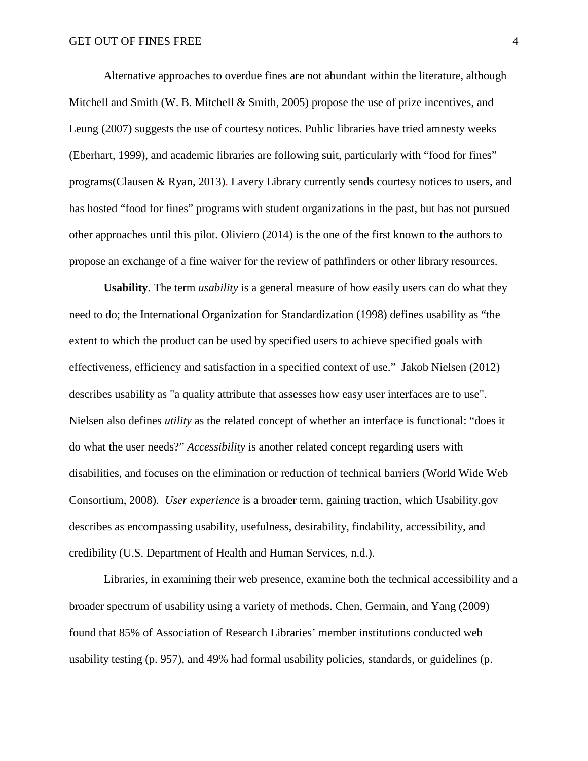Alternative approaches to overdue fines are not abundant within the literature, although Mitchell and Smith (W. B. Mitchell & Smith, 2005) propose the use of prize incentives, and Leung (2007) suggests the use of courtesy notices. Public libraries have tried amnesty weeks (Eberhart, 1999), and academic libraries are following suit, particularly with "food for fines" programs(Clausen & Ryan, 2013). Lavery Library currently sends courtesy notices to users, and has hosted "food for fines" programs with student organizations in the past, but has not pursued other approaches until this pilot. Oliviero (2014) is the one of the first known to the authors to propose an exchange of a fine waiver for the review of pathfinders or other library resources.

**Usability**. The term *usability* is a general measure of how easily users can do what they need to do; the International Organization for Standardization (1998) defines usability as "the extent to which the product can be used by specified users to achieve specified goals with effectiveness, efficiency and satisfaction in a specified context of use." Jakob Nielsen (2012) describes usability as "a quality attribute that assesses how easy user interfaces are to use". Nielsen also defines *utility* as the related concept of whether an interface is functional: "does it do what the user needs?" *Accessibility* is another related concept regarding users with disabilities, and focuses on the elimination or reduction of technical barriers (World Wide Web Consortium, 2008). *User experience* is a broader term, gaining traction, which Usability.gov describes as encompassing usability, usefulness, desirability, findability, accessibility, and credibility (U.S. Department of Health and Human Services, n.d.).

Libraries, in examining their web presence, examine both the technical accessibility and a broader spectrum of usability using a variety of methods. Chen, Germain, and Yang (2009) found that 85% of Association of Research Libraries' member institutions conducted web usability testing (p. 957), and 49% had formal usability policies, standards, or guidelines (p.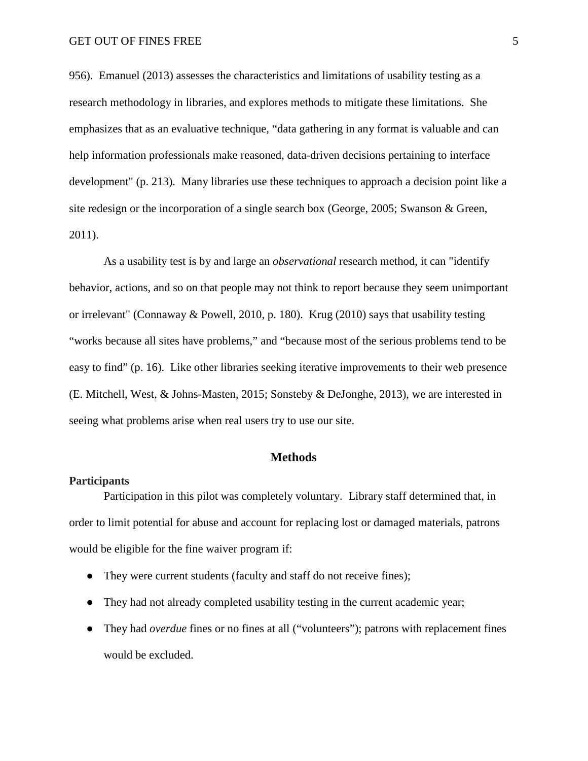956). Emanuel (2013) assesses the characteristics and limitations of usability testing as a research methodology in libraries, and explores methods to mitigate these limitations. She emphasizes that as an evaluative technique, "data gathering in any format is valuable and can help information professionals make reasoned, data-driven decisions pertaining to interface development" (p. 213). Many libraries use these techniques to approach a decision point like a site redesign or the incorporation of a single search box (George, 2005; Swanson & Green, 2011).

As a usability test is by and large an *observational* research method, it can "identify behavior, actions, and so on that people may not think to report because they seem unimportant or irrelevant" (Connaway & Powell, 2010, p. 180). Krug (2010) says that usability testing "works because all sites have problems," and "because most of the serious problems tend to be easy to find" (p. 16). Like other libraries seeking iterative improvements to their web presence (E. Mitchell, West, & Johns-Masten, 2015; Sonsteby & DeJonghe, 2013), we are interested in seeing what problems arise when real users try to use our site.

## **Methods**

# **Participants**

Participation in this pilot was completely voluntary. Library staff determined that, in order to limit potential for abuse and account for replacing lost or damaged materials, patrons would be eligible for the fine waiver program if:

- They were current students (faculty and staff do not receive fines);
- They had not already completed usability testing in the current academic year;
- They had *overdue* fines or no fines at all ("volunteers"); patrons with replacement fines would be excluded.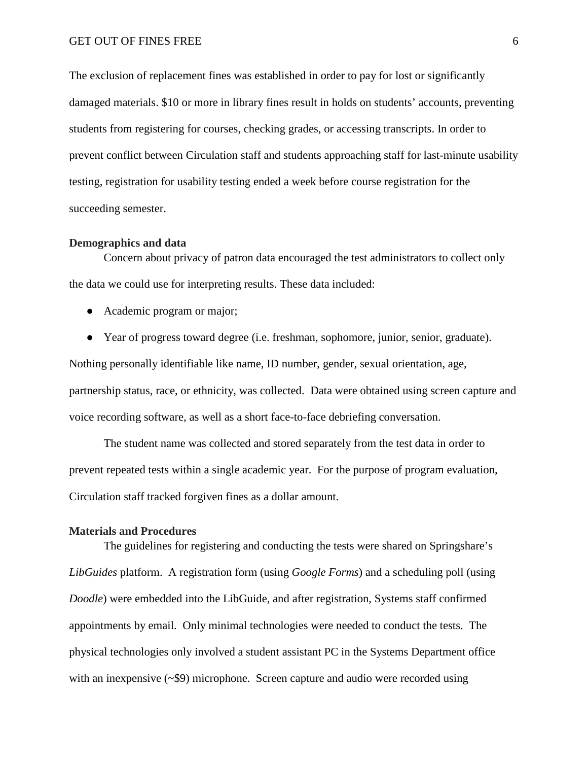The exclusion of replacement fines was established in order to pay for lost or significantly damaged materials. \$10 or more in library fines result in holds on students' accounts, preventing students from registering for courses, checking grades, or accessing transcripts. In order to prevent conflict between Circulation staff and students approaching staff for last-minute usability testing, registration for usability testing ended a week before course registration for the succeeding semester.

#### **Demographics and data**

Concern about privacy of patron data encouraged the test administrators to collect only the data we could use for interpreting results. These data included:

- Academic program or major;
- Year of progress toward degree (i.e. freshman, sophomore, junior, senior, graduate).

Nothing personally identifiable like name, ID number, gender, sexual orientation, age, partnership status, race, or ethnicity, was collected. Data were obtained using screen capture and voice recording software, as well as a short face-to-face debriefing conversation.

The student name was collected and stored separately from the test data in order to prevent repeated tests within a single academic year. For the purpose of program evaluation, Circulation staff tracked forgiven fines as a dollar amount.

#### **Materials and Procedures**

The guidelines for registering and conducting the tests were shared on Springshare's *LibGuides* platform. A registration form (using *Google Forms*) and a scheduling poll (using *Doodle*) were embedded into the LibGuide, and after registration, Systems staff confirmed appointments by email. Only minimal technologies were needed to conduct the tests. The physical technologies only involved a student assistant PC in the Systems Department office with an inexpensive (~\$9) microphone. Screen capture and audio were recorded using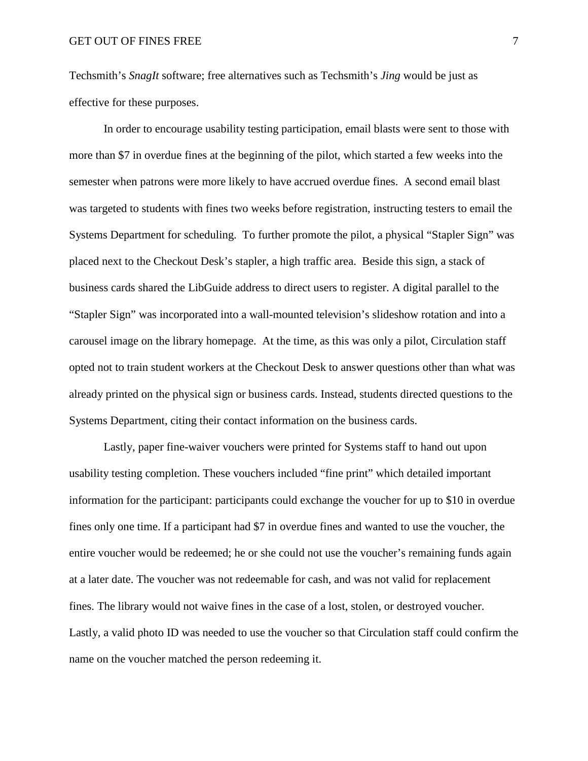Techsmith's *SnagIt* software; free alternatives such as Techsmith's *Jing* would be just as effective for these purposes.

In order to encourage usability testing participation, email blasts were sent to those with more than \$7 in overdue fines at the beginning of the pilot, which started a few weeks into the semester when patrons were more likely to have accrued overdue fines. A second email blast was targeted to students with fines two weeks before registration, instructing testers to email the Systems Department for scheduling. To further promote the pilot, a physical "Stapler Sign" was placed next to the Checkout Desk's stapler, a high traffic area. Beside this sign, a stack of business cards shared the LibGuide address to direct users to register. A digital parallel to the "Stapler Sign" was incorporated into a wall-mounted television's slideshow rotation and into a carousel image on the library homepage. At the time, as this was only a pilot, Circulation staff opted not to train student workers at the Checkout Desk to answer questions other than what was already printed on the physical sign or business cards. Instead, students directed questions to the Systems Department, citing their contact information on the business cards.

Lastly, paper fine-waiver vouchers were printed for Systems staff to hand out upon usability testing completion. These vouchers included "fine print" which detailed important information for the participant: participants could exchange the voucher for up to \$10 in overdue fines only one time. If a participant had \$7 in overdue fines and wanted to use the voucher, the entire voucher would be redeemed; he or she could not use the voucher's remaining funds again at a later date. The voucher was not redeemable for cash, and was not valid for replacement fines. The library would not waive fines in the case of a lost, stolen, or destroyed voucher. Lastly, a valid photo ID was needed to use the voucher so that Circulation staff could confirm the name on the voucher matched the person redeeming it.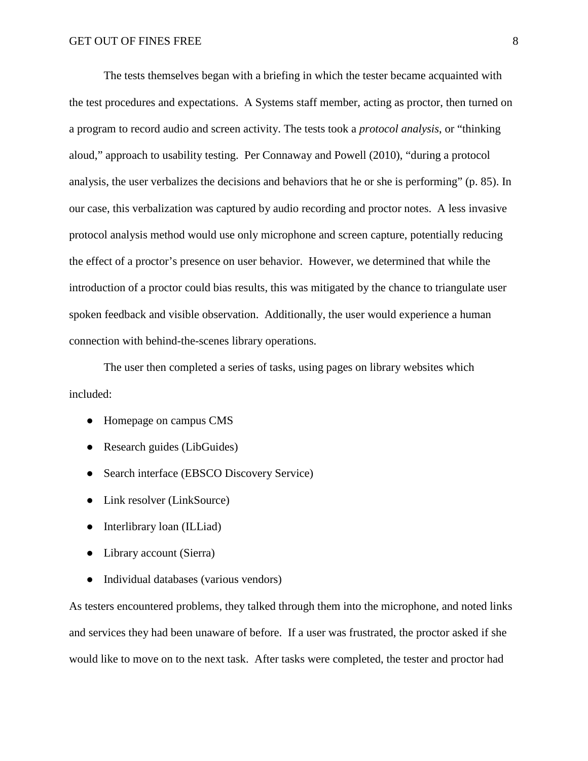The tests themselves began with a briefing in which the tester became acquainted with the test procedures and expectations. A Systems staff member, acting as proctor, then turned on a program to record audio and screen activity. The tests took a *protocol analysis*, or "thinking aloud," approach to usability testing. Per Connaway and Powell (2010), "during a protocol analysis, the user verbalizes the decisions and behaviors that he or she is performing" (p. 85). In our case, this verbalization was captured by audio recording and proctor notes. A less invasive protocol analysis method would use only microphone and screen capture, potentially reducing the effect of a proctor's presence on user behavior. However, we determined that while the introduction of a proctor could bias results, this was mitigated by the chance to triangulate user spoken feedback and visible observation. Additionally, the user would experience a human connection with behind-the-scenes library operations.

The user then completed a series of tasks, using pages on library websites which included:

- Homepage on campus CMS
- Research guides (LibGuides)
- Search interface (EBSCO Discovery Service)
- Link resolver (LinkSource)
- Interlibrary loan (ILLiad)
- Library account (Sierra)
- Individual databases (various vendors)

As testers encountered problems, they talked through them into the microphone, and noted links and services they had been unaware of before. If a user was frustrated, the proctor asked if she would like to move on to the next task. After tasks were completed, the tester and proctor had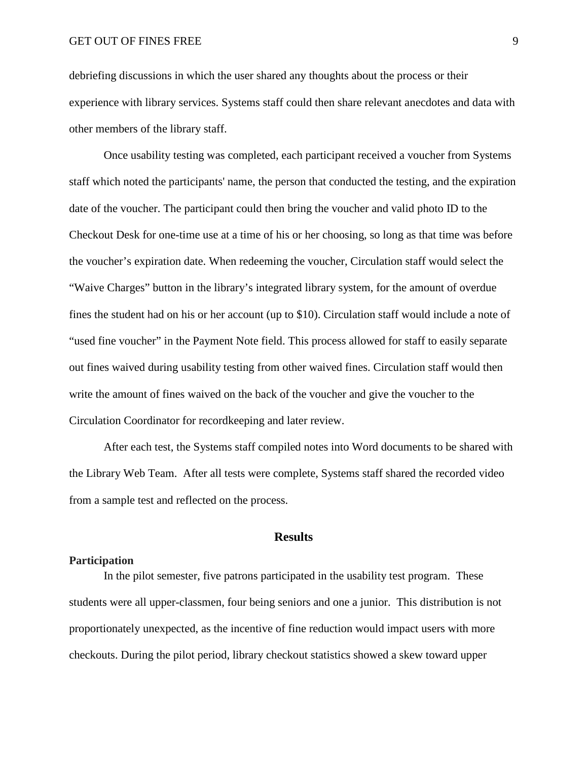debriefing discussions in which the user shared any thoughts about the process or their experience with library services. Systems staff could then share relevant anecdotes and data with other members of the library staff.

Once usability testing was completed, each participant received a voucher from Systems staff which noted the participants' name, the person that conducted the testing, and the expiration date of the voucher. The participant could then bring the voucher and valid photo ID to the Checkout Desk for one-time use at a time of his or her choosing, so long as that time was before the voucher's expiration date. When redeeming the voucher, Circulation staff would select the "Waive Charges" button in the library's integrated library system, for the amount of overdue fines the student had on his or her account (up to \$10). Circulation staff would include a note of "used fine voucher" in the Payment Note field. This process allowed for staff to easily separate out fines waived during usability testing from other waived fines. Circulation staff would then write the amount of fines waived on the back of the voucher and give the voucher to the Circulation Coordinator for recordkeeping and later review.

After each test, the Systems staff compiled notes into Word documents to be shared with the Library Web Team. After all tests were complete, Systems staff shared the recorded video from a sample test and reflected on the process.

### **Results**

# **Participation**

In the pilot semester, five patrons participated in the usability test program. These students were all upper-classmen, four being seniors and one a junior. This distribution is not proportionately unexpected, as the incentive of fine reduction would impact users with more checkouts. During the pilot period, library checkout statistics showed a skew toward upper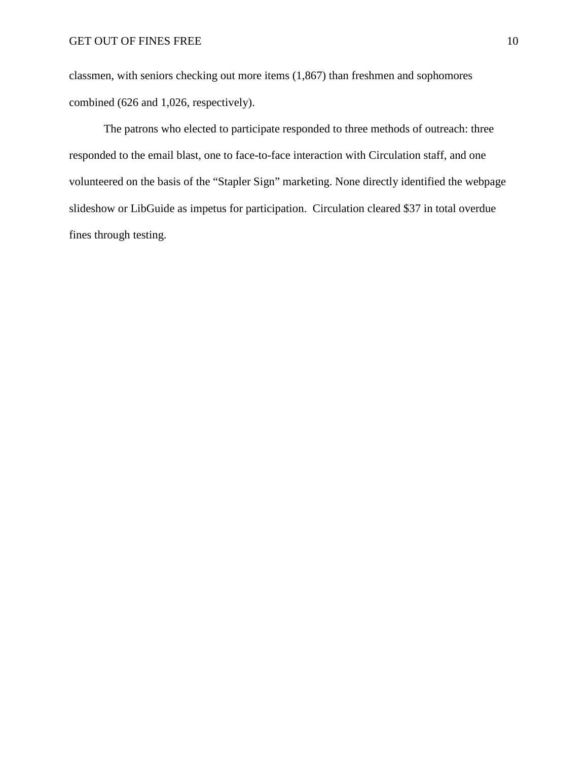classmen, with seniors checking out more items (1,867) than freshmen and sophomores combined (626 and 1,026, respectively).

The patrons who elected to participate responded to three methods of outreach: three responded to the email blast, one to face-to-face interaction with Circulation staff, and one volunteered on the basis of the "Stapler Sign" marketing. None directly identified the webpage slideshow or LibGuide as impetus for participation. Circulation cleared \$37 in total overdue fines through testing.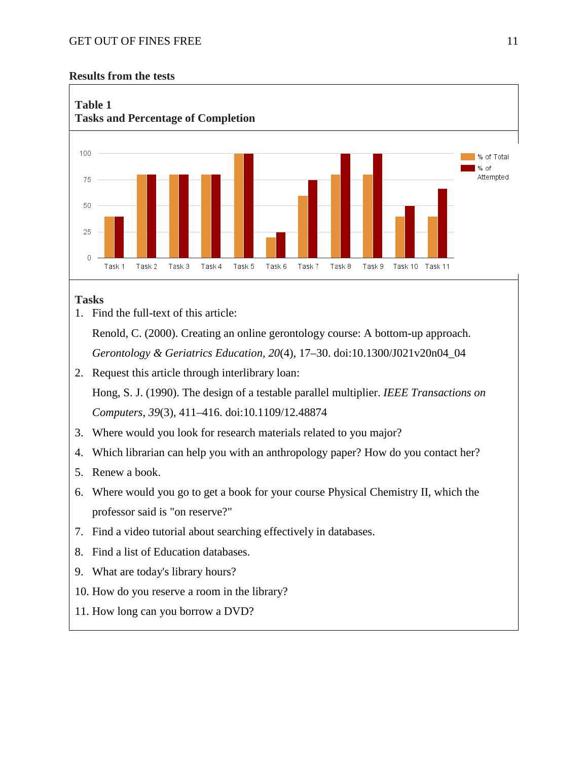# **Results from the tests**



# **Tasks**

1. Find the full-text of this article:

Renold, C. (2000). Creating an online gerontology course: A bottom-up approach. *Gerontology & Geriatrics Education, 20*(4), 17–30. doi:10.1300/J021v20n04\_04

- 2. Request this article through interlibrary loan: Hong, S. J. (1990). The design of a testable parallel multiplier. *IEEE Transactions on Computers*, *39*(3), 411–416. doi:10.1109/12.48874
- 3. Where would you look for research materials related to you major?
- 4. Which librarian can help you with an anthropology paper? How do you contact her?
- 5. Renew a book.
- 6. Where would you go to get a book for your course Physical Chemistry II, which the professor said is "on reserve?"
- 7. Find a video tutorial about searching effectively in databases.
- 8. Find a list of Education databases.
- 9. What are today's library hours?
- 10. How do you reserve a room in the library?
- 11. How long can you borrow a DVD?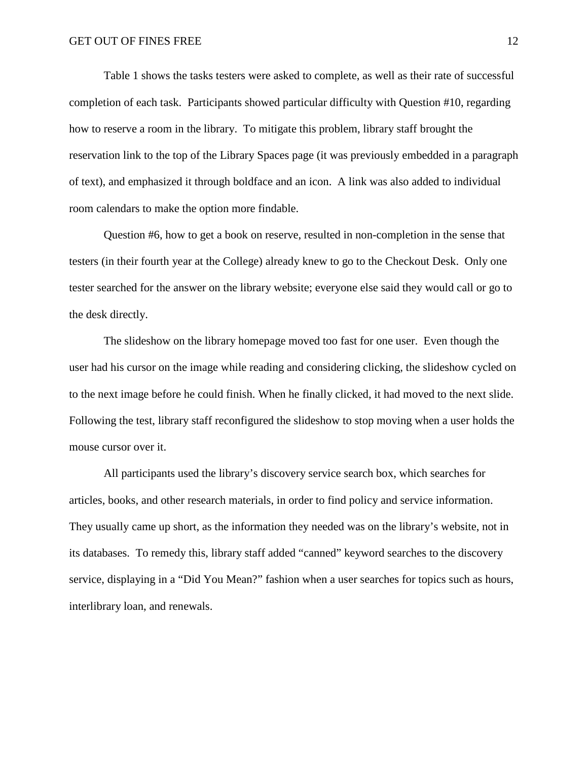Table 1 shows the tasks testers were asked to complete, as well as their rate of successful completion of each task. Participants showed particular difficulty with Question #10, regarding how to reserve a room in the library. To mitigate this problem, library staff brought the reservation link to the top of the Library Spaces page (it was previously embedded in a paragraph of text), and emphasized it through boldface and an icon. A link was also added to individual room calendars to make the option more findable.

Question #6, how to get a book on reserve, resulted in non-completion in the sense that testers (in their fourth year at the College) already knew to go to the Checkout Desk. Only one tester searched for the answer on the library website; everyone else said they would call or go to the desk directly.

The slideshow on the library homepage moved too fast for one user. Even though the user had his cursor on the image while reading and considering clicking, the slideshow cycled on to the next image before he could finish. When he finally clicked, it had moved to the next slide. Following the test, library staff reconfigured the slideshow to stop moving when a user holds the mouse cursor over it.

All participants used the library's discovery service search box, which searches for articles, books, and other research materials, in order to find policy and service information. They usually came up short, as the information they needed was on the library's website, not in its databases. To remedy this, library staff added "canned" keyword searches to the discovery service, displaying in a "Did You Mean?" fashion when a user searches for topics such as hours, interlibrary loan, and renewals.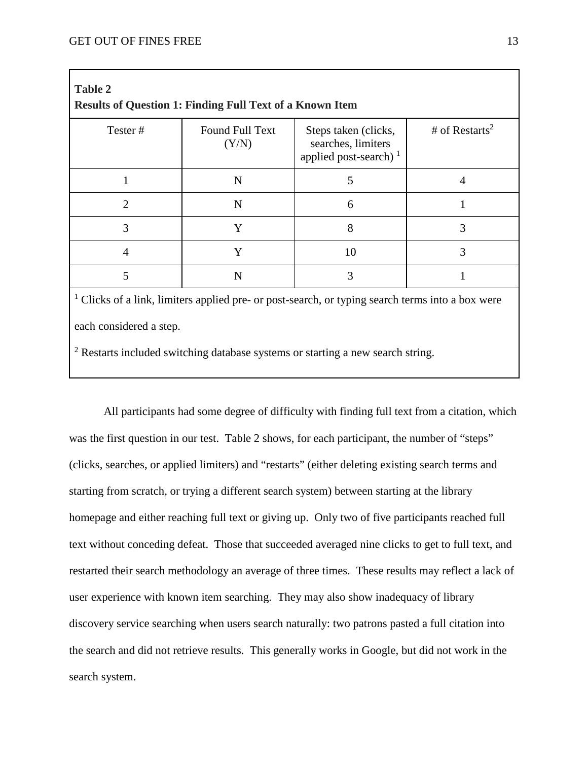| Tester#        | Found Full Text<br>(Y/N) | Steps taken (clicks,<br>searches, limiters<br>applied post-search) <sup>1</sup> | # of Restarts <sup>2</sup> |
|----------------|--------------------------|---------------------------------------------------------------------------------|----------------------------|
|                | N                        | 5                                                                               | 4                          |
| $\overline{2}$ | N                        | 6                                                                               |                            |
| 3              | Y                        | 8                                                                               | 3                          |
| 4              | Y                        | 10                                                                              | 3                          |
| 5              | N                        | 3                                                                               |                            |

each considered a step.

<sup>2</sup> Restarts included switching database systems or starting a new search string.

All participants had some degree of difficulty with finding full text from a citation, which was the first question in our test. Table 2 shows, for each participant, the number of "steps" (clicks, searches, or applied limiters) and "restarts" (either deleting existing search terms and starting from scratch, or trying a different search system) between starting at the library homepage and either reaching full text or giving up. Only two of five participants reached full text without conceding defeat. Those that succeeded averaged nine clicks to get to full text, and restarted their search methodology an average of three times. These results may reflect a lack of user experience with known item searching. They may also show inadequacy of library discovery service searching when users search naturally: two patrons pasted a full citation into the search and did not retrieve results. This generally works in Google, but did not work in the search system.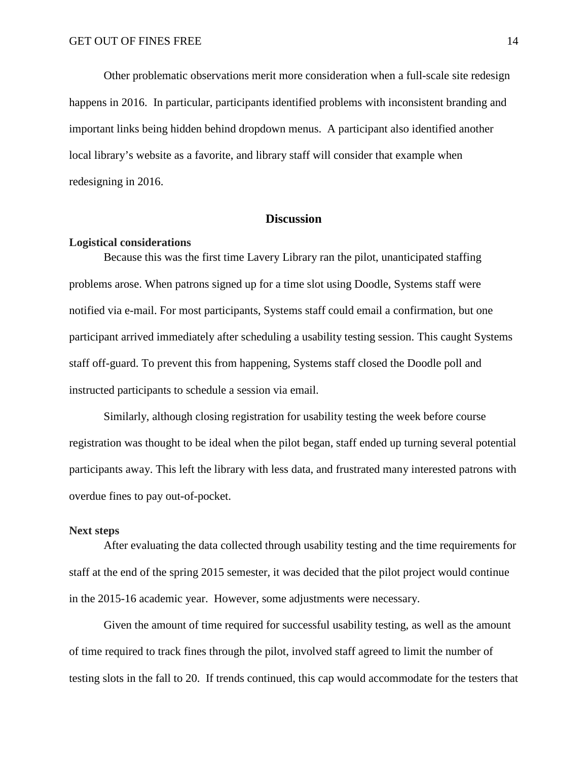Other problematic observations merit more consideration when a full-scale site redesign happens in 2016. In particular, participants identified problems with inconsistent branding and important links being hidden behind dropdown menus. A participant also identified another local library's website as a favorite, and library staff will consider that example when redesigning in 2016.

# **Discussion**

#### **Logistical considerations**

Because this was the first time Lavery Library ran the pilot, unanticipated staffing problems arose. When patrons signed up for a time slot using Doodle, Systems staff were notified via e-mail. For most participants, Systems staff could email a confirmation, but one participant arrived immediately after scheduling a usability testing session. This caught Systems staff off-guard. To prevent this from happening, Systems staff closed the Doodle poll and instructed participants to schedule a session via email.

Similarly, although closing registration for usability testing the week before course registration was thought to be ideal when the pilot began, staff ended up turning several potential participants away. This left the library with less data, and frustrated many interested patrons with overdue fines to pay out-of-pocket.

#### **Next steps**

After evaluating the data collected through usability testing and the time requirements for staff at the end of the spring 2015 semester, it was decided that the pilot project would continue in the 2015-16 academic year. However, some adjustments were necessary.

Given the amount of time required for successful usability testing, as well as the amount of time required to track fines through the pilot, involved staff agreed to limit the number of testing slots in the fall to 20. If trends continued, this cap would accommodate for the testers that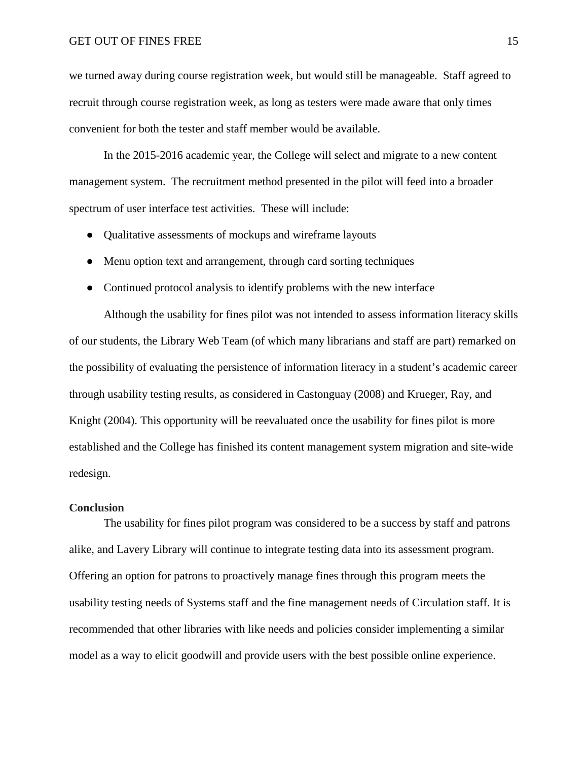we turned away during course registration week, but would still be manageable. Staff agreed to recruit through course registration week, as long as testers were made aware that only times convenient for both the tester and staff member would be available.

In the 2015-2016 academic year, the College will select and migrate to a new content management system. The recruitment method presented in the pilot will feed into a broader spectrum of user interface test activities. These will include:

- Qualitative assessments of mockups and wireframe layouts
- Menu option text and arrangement, through card sorting techniques
- Continued protocol analysis to identify problems with the new interface

Although the usability for fines pilot was not intended to assess information literacy skills of our students, the Library Web Team (of which many librarians and staff are part) remarked on the possibility of evaluating the persistence of information literacy in a student's academic career through usability testing results, as considered in Castonguay (2008) and Krueger, Ray, and Knight (2004). This opportunity will be reevaluated once the usability for fines pilot is more established and the College has finished its content management system migration and site-wide redesign.

#### **Conclusion**

The usability for fines pilot program was considered to be a success by staff and patrons alike, and Lavery Library will continue to integrate testing data into its assessment program. Offering an option for patrons to proactively manage fines through this program meets the usability testing needs of Systems staff and the fine management needs of Circulation staff. It is recommended that other libraries with like needs and policies consider implementing a similar model as a way to elicit goodwill and provide users with the best possible online experience.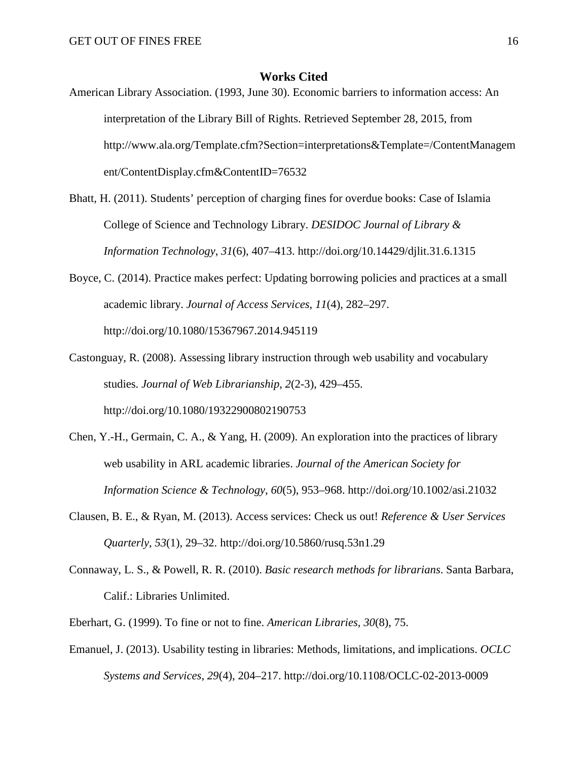## **Works Cited**

- American Library Association. (1993, June 30). Economic barriers to information access: An interpretation of the Library Bill of Rights. Retrieved September 28, 2015, from http://www.ala.org/Template.cfm?Section=interpretations&Template=/ContentManagem ent/ContentDisplay.cfm&ContentID=76532
- Bhatt, H. (2011). Students' perception of charging fines for overdue books: Case of Islamia College of Science and Technology Library. *DESIDOC Journal of Library & Information Technology*, *31*(6), 407–413. http://doi.org/10.14429/djlit.31.6.1315
- Boyce, C. (2014). Practice makes perfect: Updating borrowing policies and practices at a small academic library. *Journal of Access Services*, *11*(4), 282–297. http://doi.org/10.1080/15367967.2014.945119
- Castonguay, R. (2008). Assessing library instruction through web usability and vocabulary studies. *Journal of Web Librarianship*, *2*(2-3), 429–455. http://doi.org/10.1080/19322900802190753
- Chen, Y.-H., Germain, C. A., & Yang, H. (2009). An exploration into the practices of library web usability in ARL academic libraries. *Journal of the American Society for Information Science & Technology*, *60*(5), 953–968. http://doi.org/10.1002/asi.21032
- Clausen, B. E., & Ryan, M. (2013). Access services: Check us out! *Reference & User Services Quarterly*, *53*(1), 29–32. http://doi.org/10.5860/rusq.53n1.29
- Connaway, L. S., & Powell, R. R. (2010). *Basic research methods for librarians*. Santa Barbara, Calif.: Libraries Unlimited.
- Eberhart, G. (1999). To fine or not to fine. *American Libraries*, *30*(8), 75.
- Emanuel, J. (2013). Usability testing in libraries: Methods, limitations, and implications. *OCLC Systems and Services*, *29*(4), 204–217. http://doi.org/10.1108/OCLC-02-2013-0009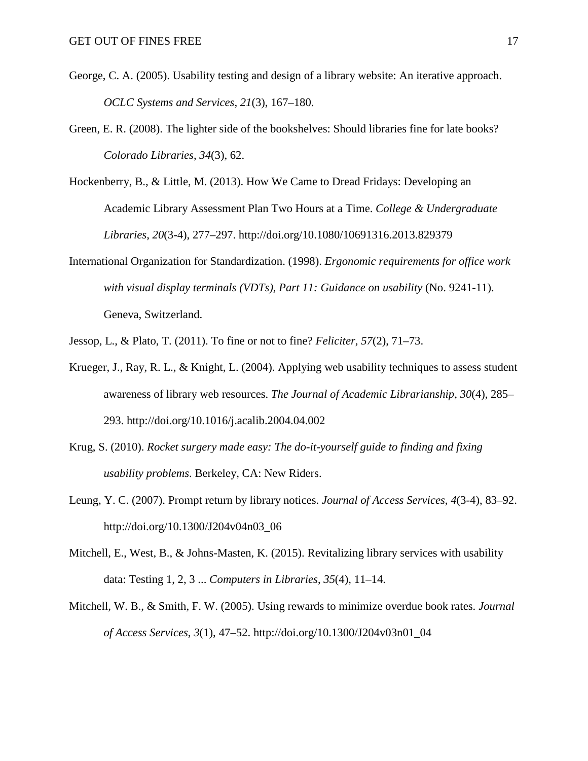- George, C. A. (2005). Usability testing and design of a library website: An iterative approach. *OCLC Systems and Services*, *21*(3), 167–180.
- Green, E. R. (2008). The lighter side of the bookshelves: Should libraries fine for late books? *Colorado Libraries*, *34*(3), 62.
- Hockenberry, B., & Little, M. (2013). How We Came to Dread Fridays: Developing an Academic Library Assessment Plan Two Hours at a Time. *College & Undergraduate Libraries*, *20*(3-4), 277–297. http://doi.org/10.1080/10691316.2013.829379
- International Organization for Standardization. (1998). *Ergonomic requirements for office work with visual display terminals (VDTs), Part 11: Guidance on usability* (No. 9241-11). Geneva, Switzerland.
- Jessop, L., & Plato, T. (2011). To fine or not to fine? *Feliciter*, *57*(2), 71–73.
- Krueger, J., Ray, R. L., & Knight, L. (2004). Applying web usability techniques to assess student awareness of library web resources. *The Journal of Academic Librarianship*, *30*(4), 285– 293. http://doi.org/10.1016/j.acalib.2004.04.002
- Krug, S. (2010). *Rocket surgery made easy: The do-it-yourself guide to finding and fixing usability problems*. Berkeley, CA: New Riders.
- Leung, Y. C. (2007). Prompt return by library notices. *Journal of Access Services*, *4*(3-4), 83–92. http://doi.org/10.1300/J204v04n03\_06
- Mitchell, E., West, B., & Johns-Masten, K. (2015). Revitalizing library services with usability data: Testing 1, 2, 3 ... *Computers in Libraries*, *35*(4), 11–14.
- Mitchell, W. B., & Smith, F. W. (2005). Using rewards to minimize overdue book rates. *Journal of Access Services*, *3*(1), 47–52. http://doi.org/10.1300/J204v03n01\_04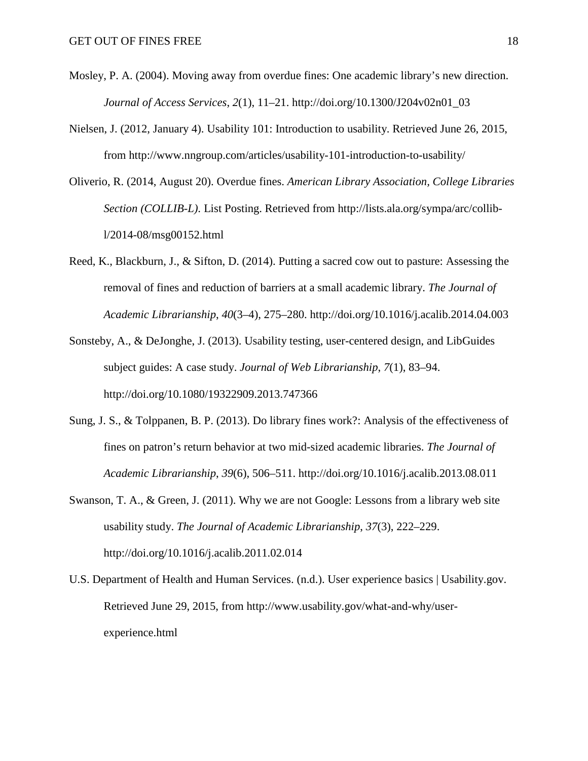- Mosley, P. A. (2004). Moving away from overdue fines: One academic library's new direction. *Journal of Access Services*, *2*(1), 11–21. http://doi.org/10.1300/J204v02n01\_03
- Nielsen, J. (2012, January 4). Usability 101: Introduction to usability. Retrieved June 26, 2015, from http://www.nngroup.com/articles/usability-101-introduction-to-usability/
- Oliverio, R. (2014, August 20). Overdue fines. *American Library Association, College Libraries Section (COLLIB-L)*. List Posting. Retrieved from http://lists.ala.org/sympa/arc/collibl/2014-08/msg00152.html
- Reed, K., Blackburn, J., & Sifton, D. (2014). Putting a sacred cow out to pasture: Assessing the removal of fines and reduction of barriers at a small academic library. *The Journal of Academic Librarianship*, *40*(3–4), 275–280. http://doi.org/10.1016/j.acalib.2014.04.003
- Sonsteby, A., & DeJonghe, J. (2013). Usability testing, user-centered design, and LibGuides subject guides: A case study. *Journal of Web Librarianship*, *7*(1), 83–94. http://doi.org/10.1080/19322909.2013.747366
- Sung, J. S., & Tolppanen, B. P. (2013). Do library fines work?: Analysis of the effectiveness of fines on patron's return behavior at two mid-sized academic libraries. *The Journal of Academic Librarianship*, *39*(6), 506–511. http://doi.org/10.1016/j.acalib.2013.08.011
- Swanson, T. A., & Green, J. (2011). Why we are not Google: Lessons from a library web site usability study. *The Journal of Academic Librarianship*, *37*(3), 222–229. http://doi.org/10.1016/j.acalib.2011.02.014
- U.S. Department of Health and Human Services. (n.d.). User experience basics | Usability.gov. Retrieved June 29, 2015, from http://www.usability.gov/what-and-why/userexperience.html